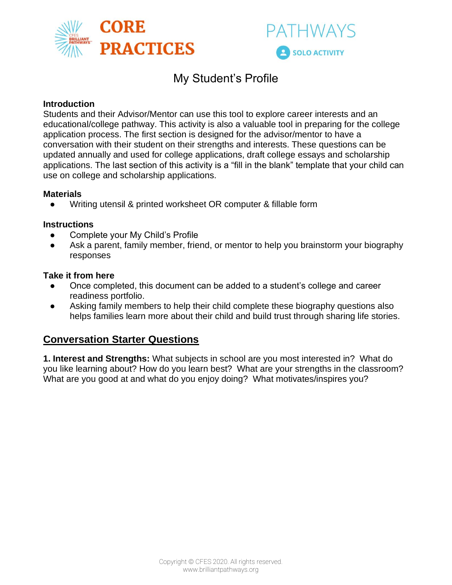



## My Student's Profile

#### **Introduction**

Students and their Advisor/Mentor can use this tool to explore career interests and an educational/college pathway. This activity is also a valuable tool in preparing for the college application process. The first section is designed for the advisor/mentor to have a conversation with their student on their strengths and interests. These questions can be updated annually and used for college applications, draft college essays and scholarship applications. The last section of this activity is a "fill in the blank" template that your child can use on college and scholarship applications.

#### **Materials**

Writing utensil & printed worksheet OR computer & fillable form

#### **Instructions**

- Complete your My Child's Profile
- Ask a parent, family member, friend, or mentor to help you brainstorm your biography responses

#### **Take it from here**

- Once completed, this document can be added to a student's college and career readiness portfolio.
- Asking family members to help their child complete these biography questions also helps families learn more about their child and build trust through sharing life stories.

### **Conversation Starter Questions**

**1. Interest and Strengths:** What subjects in school are you most interested in? What do you like learning about? How do you learn best? What are your strengths in the classroom? What are you good at and what do you enjoy doing? What motivates/inspires you?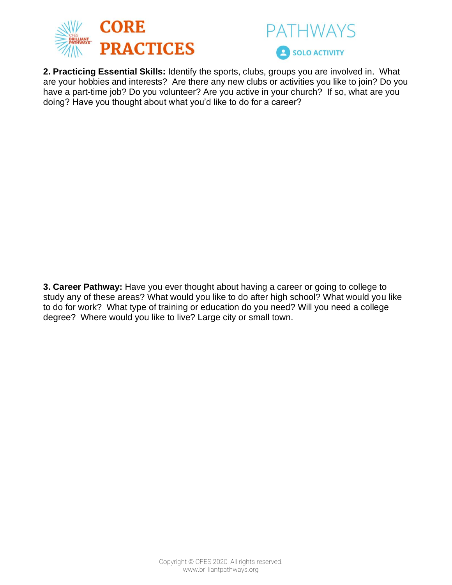



**2. Practicing Essential Skills:** Identify the sports, clubs, groups you are involved in. What are your hobbies and interests? Are there any new clubs or activities you like to join? Do you have a part-time job? Do you volunteer? Are you active in your church? If so, what are you doing? Have you thought about what you'd like to do for a career?

**3. Career Pathway:** Have you ever thought about having a career or going to college to study any of these areas? What would you like to do after high school? What would you like to do for work? What type of training or education do you need? Will you need a college degree? Where would you like to live? Large city or small town.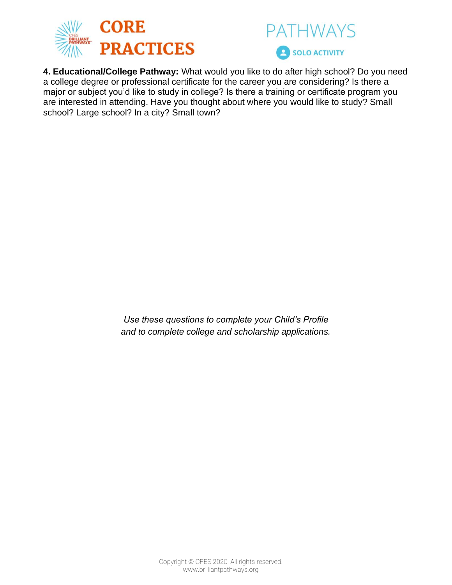



**4. Educational/College Pathway:** What would you like to do after high school? Do you need a college degree or professional certificate for the career you are considering? Is there a major or subject you'd like to study in college? Is there a training or certificate program you are interested in attending. Have you thought about where you would like to study? Small school? Large school? In a city? Small town?

> *Use these questions to complete your Child's Profile and to complete college and scholarship applications.*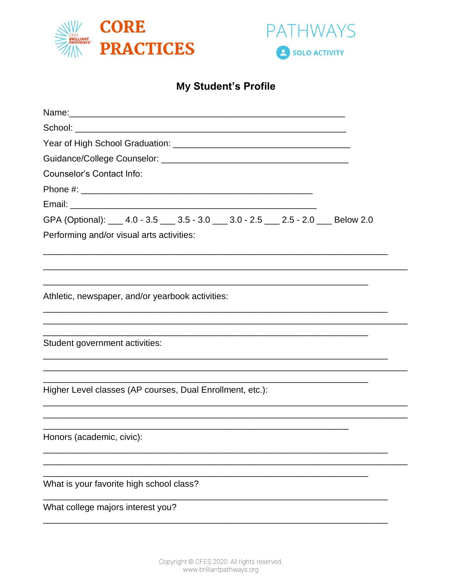



# My Student's Profile

| <b>Counselor's Contact Info:</b>                                                      |
|---------------------------------------------------------------------------------------|
|                                                                                       |
|                                                                                       |
| GPA (Optional): ___ 4.0 - 3.5 ___ 3.5 - 3.0 ___ 3.0 - 2.5 ___ 2.5 - 2.0 ___ Below 2.0 |
| Performing and/or visual arts activities:                                             |
|                                                                                       |
|                                                                                       |
|                                                                                       |
| Athletic, newspaper, and/or yearbook activities:                                      |
|                                                                                       |
|                                                                                       |
| Student government activities:                                                        |
|                                                                                       |
|                                                                                       |
| Higher Level classes (AP courses, Dual Enrollment, etc.):                             |
|                                                                                       |
|                                                                                       |
| Honors (academic, civic):                                                             |
|                                                                                       |
|                                                                                       |
| What is your favorite high school class?                                              |
| What college majors interest you?                                                     |
|                                                                                       |
|                                                                                       |